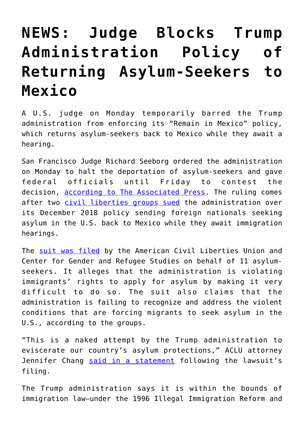## **[NEWS: Judge Blocks Trump](https://intellectualtakeout.org/2019/04/news-judge-blocks-trump-administration-policy-of-returning-asylum-seekers-to-mexico/) [Administration Policy of](https://intellectualtakeout.org/2019/04/news-judge-blocks-trump-administration-policy-of-returning-asylum-seekers-to-mexico/) [Returning Asylum-Seekers to](https://intellectualtakeout.org/2019/04/news-judge-blocks-trump-administration-policy-of-returning-asylum-seekers-to-mexico/) [Mexico](https://intellectualtakeout.org/2019/04/news-judge-blocks-trump-administration-policy-of-returning-asylum-seekers-to-mexico/)**

A U.S. judge on Monday temporarily barred the Trump administration from enforcing its "Remain in Mexico" policy, which returns asylum-seekers back to Mexico while they await a hearing.

San Francisco Judge Richard Seeborg ordered the administration on Monday to halt the deportation of asylum-seekers and gave federal officials until Friday to contest the decision, [according to The Associated Press.](https://www.apnews.com/03aa69629a4b455a83a496f92a740790) The ruling comes after two [civil liberties groups sued](https://www.nbcnews.com/politics/immigration/rights-groups-sue-trump-admin-making-asylum-seekers-wait-mexico-n971781) the administration over its December 2018 policy sending foreign nationals seeking asylum in the U.S. back to Mexico while they await immigration hearings.

The [suit was filed](https://dailycaller.com/2018/08/08/aclu-suing-trump-asylum/) by the American Civil Liberties Union and Center for Gender and Refugee Studies on behalf of 11 asylumseekers. It alleges that the administration is violating immigrants' rights to apply for asylum by making it very difficult to do so. The suit also claims that the administration is failing to recognize and address the violent conditions that are forcing migrants to seek asylum in the U.S., according to the groups.

"This is a naked attempt by the Trump administration to eviscerate our country's asylum protections," ACLU attorney Jennifer Chang [said in a statement](https://www.politico.com/story/2018/08/07/aclu-immigrants-asylum-violence-766101) following the lawsuit's filing.

The Trump administration says it is within the bounds of immigration law—under the 1996 Illegal Immigration Reform and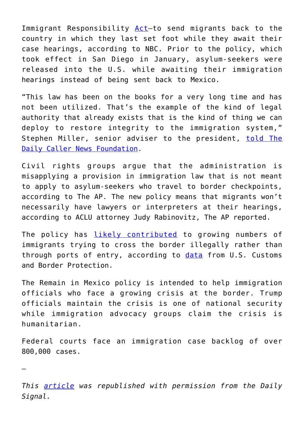Immigrant Responsibility [Act](https://www.law.cornell.edu/wex/illegal_immigration_reform_and_immigration_responsibility_act)—to send migrants back to the country in which they last set foot while they await their case hearings, according to NBC. Prior to the policy, which took effect in San Diego in January, asylum-seekers were released into the U.S. while awaiting their immigration hearings instead of being sent back to Mexico.

"This law has been on the books for a very long time and has not been utilized. That's the example of the kind of legal authority that already exists that is the kind of thing we can deploy to restore integrity to the immigration system," Stephen Miller, senior adviser to the president, [told The](https://dailycaller.com/2019/04/02/stephen-miller-crackdown-illegal-immigration/) [Daily Caller News Foundation](https://dailycaller.com/2019/04/02/stephen-miller-crackdown-illegal-immigration/).

Civil rights groups argue that the administration is misapplying a provision in immigration law that is not meant to apply to asylum-seekers who travel to border checkpoints, according to The AP. The new policy means that migrants won't necessarily have lawyers or interpreters at their hearings, according to ACLU attorney Judy Rabinovitz, The AP reported.

The policy has *[likely contributed](https://dailycaller.com/2019/03/01/asylum-illegal-crossings/)* to growing numbers of immigrants trying to cross the border illegally rather than through ports of entry, according to [data](https://www.nbcnews.com/politics/immigration/trump-restricted-flow-border-more-migrants-trying-sneak-through-undetected-n976356) from U.S. Customs and Border Protection.

The Remain in Mexico policy is intended to help immigration officials who face a growing crisis at the border. Trump officials maintain the crisis is one of national security while immigration advocacy groups claim the crisis is humanitarian.

Federal courts face an immigration case backlog of over 800,000 cases.

—

*This [article](https://www.dailysignal.com/2019/04/09/judge-blocks-trump-administration-policy-of-returning-asylum-seekers-to-mexico/) was republished with permission from the Daily Signal.*